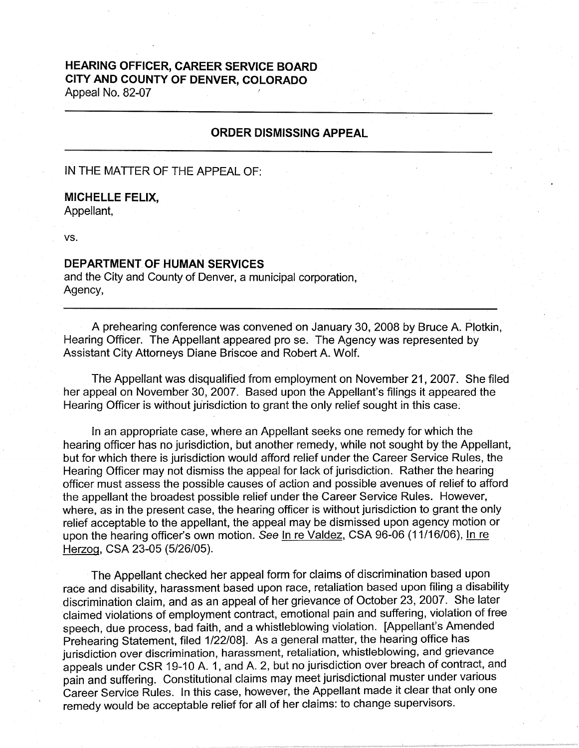## **HEARING OFFICER, CAREER SERVICE BOARD CITY AND COUNTY OF DENVER, COLORADO**  Appeal No. 82-07

## **ORDER DISMISSING APPEAL**

IN THE MATTER OF THE APPEAL OF:

## **MICHELLE FELIX,**

Appellant,

vs.

## **DEPARTMENT OF HUMAN SERVICES**

and the City and County of Denver, a municipal corporation, Agency,

A prehearing conference was convened on January 30, 2008 by Bruce A. Plotkin, Hearing Officer. The Appellant appeared pro se. The Agency was represented by Assistant City Attorneys Diane Briscoe and Robert A. Wolf.

The Appellant was disqualified from employment on November 21, 2007. She filed her appeal on November 30, 2007. Based upon the Appellant's filings it appeared the Hearing Officer is without jurisdiction to grant the only relief sought in this case.

In an appropriate case, where an Appellant seeks one remedy for which the hearing officer has no jurisdiction, but another remedy, while not sought by the Appellant, but for which there is jurisdiction would afford relief under the Career Service Rules, the Hearing Officer may not dismiss the appeal for lack of jurisdiction. Rather the hearing officer must assess the possible causes of action and possible avenues of relief to afford the appellant the broadest possible relief under the Career Service Rules. However, where, as in the present case, the hearing officer is without jurisdiction to grant the only relief acceptable to the appellant, the appeal may be dismissed upon agency motion or upon the hearing officer's own motion. See In re Valdez, CSA 96-06 (11/16/06), In re Herzog, CSA 23-05 (5/26/05).

The Appellant checked her appeal form for claims of discrimination based upon race and disability, harassment based upon race, retaliation based upon filing a disability discrimination claim, and as an appeal of her grievance of October 23, 2007. She later claimed violations of employment contract, emotional pain and suffering, violation of free speech, due process, bad faith, and a whistleblowing violation. [Appellant's Amended Prehearing Statement, filed 1/22/08]. As a general matter, the hearing office has jurisdiction over discrimination, harassment, retaliation, whistleblowing, and grievance appeals under CSR 19-10 A. 1, and A. 2, but no jurisdiction over breach of contract, and pain and suffering. Constitutional claims may meet jurisdictional muster under various Career Service Rules. In this case, however, the Appellant made it clear that only one remedy would be acceptable relief for all of her claims: to change supervisors.